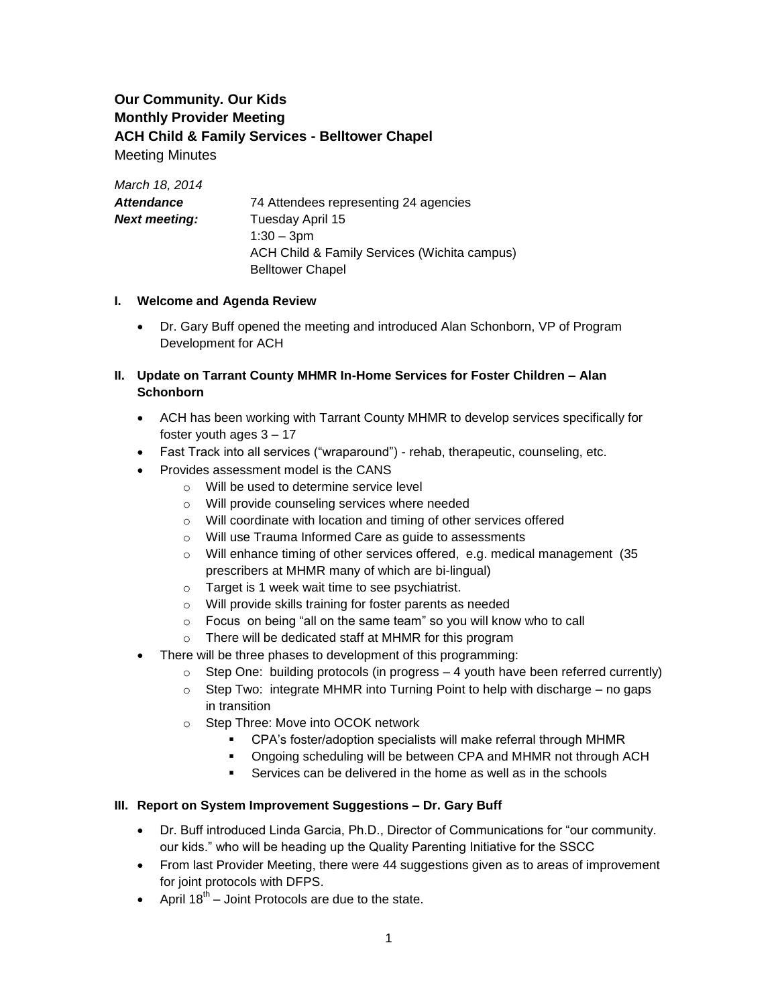# **Our Community. Our Kids Monthly Provider Meeting ACH Child & Family Services - Belltower Chapel** Meeting Minutes

*March 18, 2014 Attendance* 74 Attendees representing 24 agencies **Next meeting:** Tuesday April 15 1:30 – 3pm ACH Child & Family Services (Wichita campus) Belltower Chapel

### **I. Welcome and Agenda Review**

 Dr. Gary Buff opened the meeting and introduced Alan Schonborn, VP of Program Development for ACH

## **II. Update on Tarrant County MHMR In-Home Services for Foster Children – Alan Schonborn**

- ACH has been working with Tarrant County MHMR to develop services specifically for foster youth ages 3 – 17
- Fast Track into all services ("wraparound") rehab, therapeutic, counseling, etc.
- Provides assessment model is the CANS
	- o Will be used to determine service level
	- o Will provide counseling services where needed
	- o Will coordinate with location and timing of other services offered
	- o Will use Trauma Informed Care as guide to assessments
	- o Will enhance timing of other services offered, e.g. medical management (35 prescribers at MHMR many of which are bi-lingual)
	- o Target is 1 week wait time to see psychiatrist.
	- o Will provide skills training for foster parents as needed
	- o Focus on being "all on the same team" so you will know who to call
	- o There will be dedicated staff at MHMR for this program
- There will be three phases to development of this programming:
	- $\circ$  Step One: building protocols (in progress  $-4$  youth have been referred currently)
	- $\circ$  Step Two: integrate MHMR into Turning Point to help with discharge no gaps in transition
	- o Step Three: Move into OCOK network
		- CPA's foster/adoption specialists will make referral through MHMR
		- Ongoing scheduling will be between CPA and MHMR not through ACH
		- Services can be delivered in the home as well as in the schools

### **III. Report on System Improvement Suggestions – Dr. Gary Buff**

- Dr. Buff introduced Linda Garcia, Ph.D., Director of Communications for "our community. our kids." who will be heading up the Quality Parenting Initiative for the SSCC
- From last Provider Meeting, there were 44 suggestions given as to areas of improvement for joint protocols with DFPS.
- April  $18^{th}$  Joint Protocols are due to the state.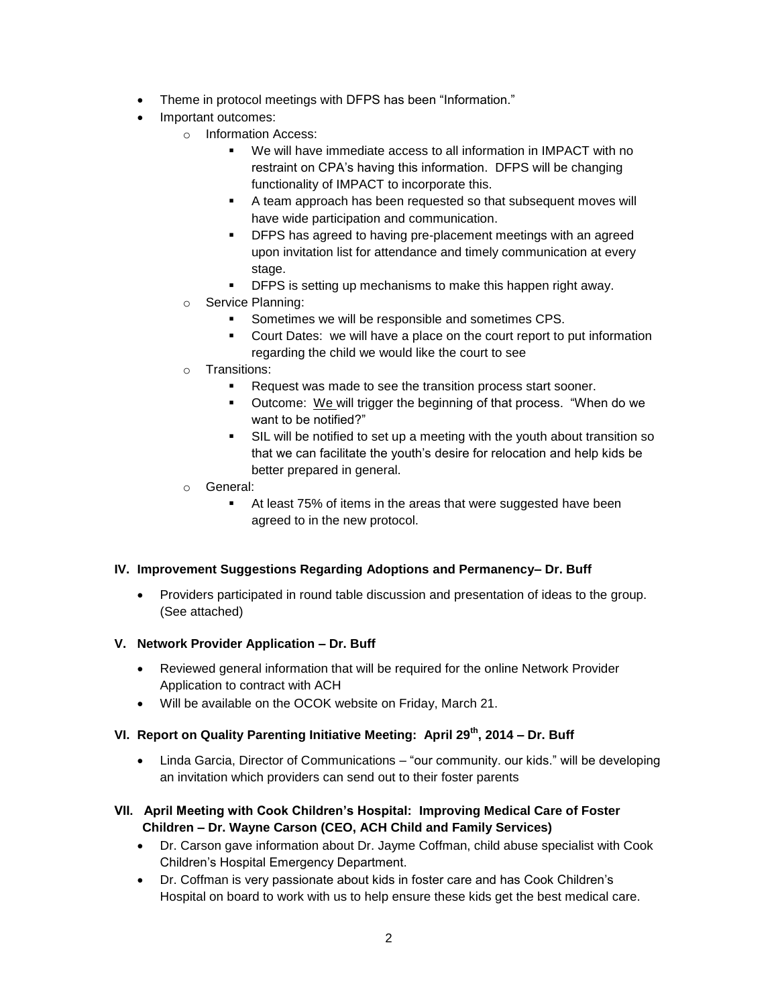- Theme in protocol meetings with DFPS has been "Information."
- Important outcomes:
	- o Information Access:
		- We will have immediate access to all information in IMPACT with no restraint on CPA's having this information. DFPS will be changing functionality of IMPACT to incorporate this.
		- A team approach has been requested so that subsequent moves will have wide participation and communication.
		- **•** DFPS has agreed to having pre-placement meetings with an agreed upon invitation list for attendance and timely communication at every stage.
		- DFPS is setting up mechanisms to make this happen right away.
	- o Service Planning:
		- Sometimes we will be responsible and sometimes CPS.
		- Court Dates: we will have a place on the court report to put information regarding the child we would like the court to see
	- o Transitions:
		- **Request was made to see the transition process start sooner.**
		- Outcome: We will trigger the beginning of that process. "When do we want to be notified?"
		- SIL will be notified to set up a meeting with the youth about transition so that we can facilitate the youth's desire for relocation and help kids be better prepared in general.
	- o General:
		- At least 75% of items in the areas that were suggested have been agreed to in the new protocol.

### **IV. Improvement Suggestions Regarding Adoptions and Permanency– Dr. Buff**

 Providers participated in round table discussion and presentation of ideas to the group. (See attached)

### **V. Network Provider Application – Dr. Buff**

- Reviewed general information that will be required for the online Network Provider Application to contract with ACH
- Will be available on the OCOK website on Friday, March 21.

## **VI. Report on Quality Parenting Initiative Meeting: April 29th, 2014 – Dr. Buff**

• Linda Garcia, Director of Communications – "our community. our kids." will be developing an invitation which providers can send out to their foster parents

### **VII. April Meeting with Cook Children's Hospital: Improving Medical Care of Foster Children – Dr. Wayne Carson (CEO, ACH Child and Family Services)**

- Dr. Carson gave information about Dr. Jayme Coffman, child abuse specialist with Cook Children's Hospital Emergency Department.
- Dr. Coffman is very passionate about kids in foster care and has Cook Children's Hospital on board to work with us to help ensure these kids get the best medical care.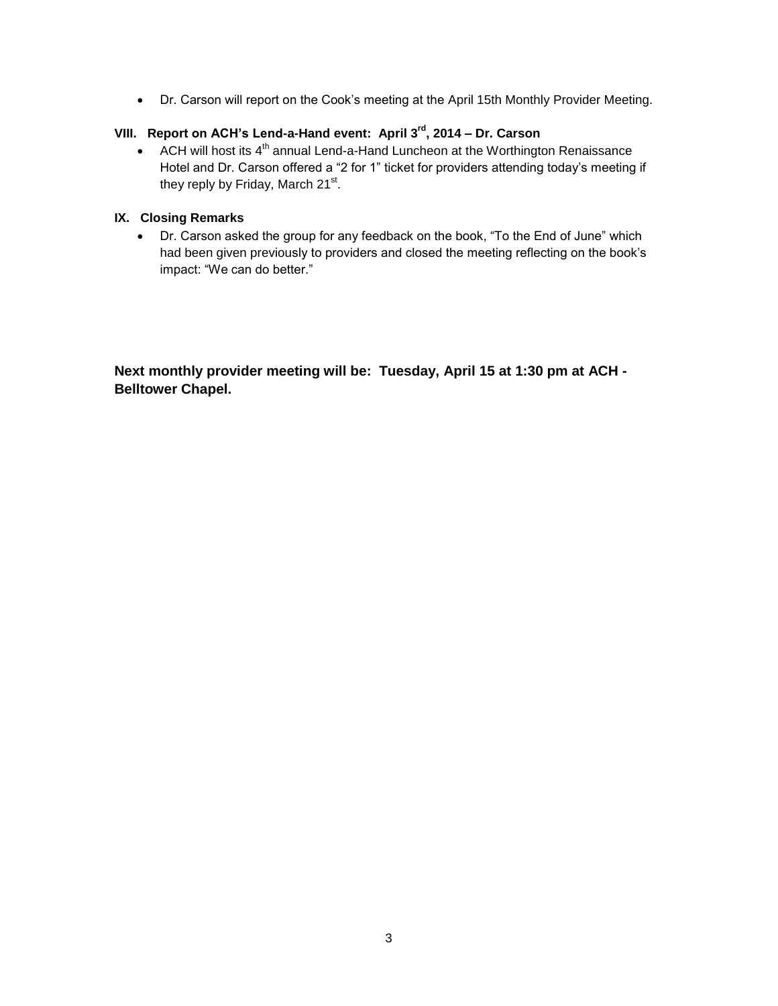Dr. Carson will report on the Cook's meeting at the April 15th Monthly Provider Meeting.

# **VIII. Report on ACH's Lend-a-Hand event: April 3rd, 2014 – Dr. Carson**

ACH will host its  $4<sup>th</sup>$  annual Lend-a-Hand Luncheon at the Worthington Renaissance Hotel and Dr. Carson offered a "2 for 1" ticket for providers attending today's meeting if they reply by Friday, March 21<sup>st</sup>.

### **IX. Closing Remarks**

 Dr. Carson asked the group for any feedback on the book, "To the End of June" which had been given previously to providers and closed the meeting reflecting on the book's impact: "We can do better."

**Next monthly provider meeting will be: Tuesday, April 15 at 1:30 pm at ACH - Belltower Chapel.**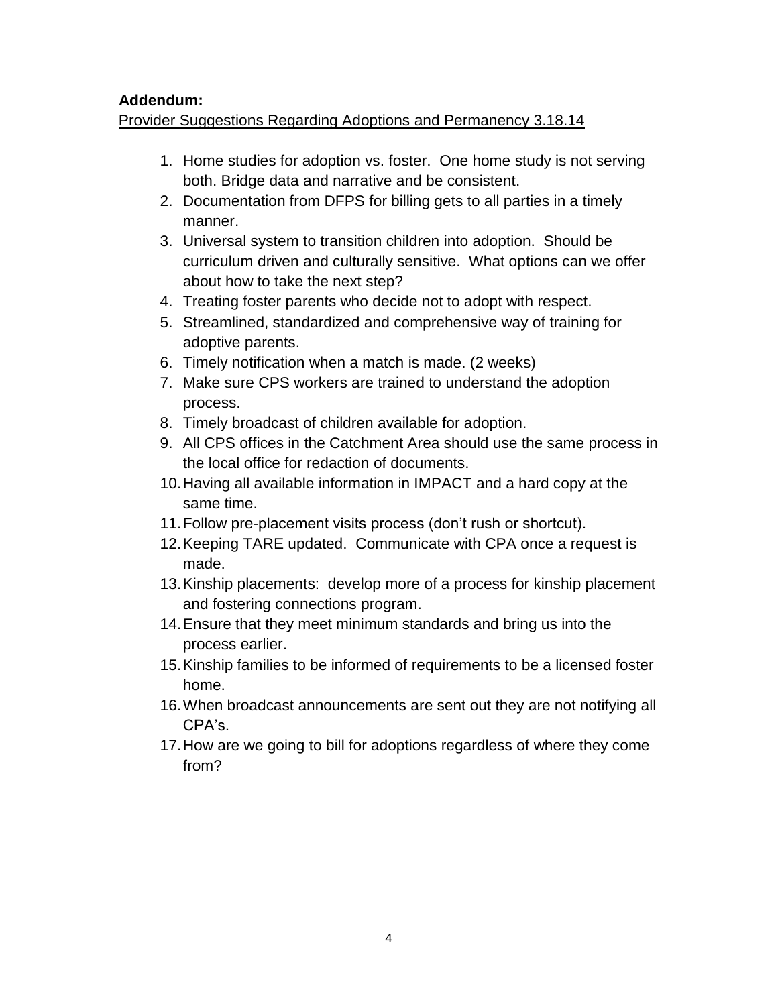# **Addendum:**

Provider Suggestions Regarding Adoptions and Permanency 3.18.14

- 1. Home studies for adoption vs. foster. One home study is not serving both. Bridge data and narrative and be consistent.
- 2. Documentation from DFPS for billing gets to all parties in a timely manner.
- 3. Universal system to transition children into adoption. Should be curriculum driven and culturally sensitive. What options can we offer about how to take the next step?
- 4. Treating foster parents who decide not to adopt with respect.
- 5. Streamlined, standardized and comprehensive way of training for adoptive parents.
- 6. Timely notification when a match is made. (2 weeks)
- 7. Make sure CPS workers are trained to understand the adoption process.
- 8. Timely broadcast of children available for adoption.
- 9. All CPS offices in the Catchment Area should use the same process in the local office for redaction of documents.
- 10.Having all available information in IMPACT and a hard copy at the same time.
- 11.Follow pre-placement visits process (don't rush or shortcut).
- 12.Keeping TARE updated. Communicate with CPA once a request is made.
- 13.Kinship placements: develop more of a process for kinship placement and fostering connections program.
- 14.Ensure that they meet minimum standards and bring us into the process earlier.
- 15.Kinship families to be informed of requirements to be a licensed foster home.
- 16.When broadcast announcements are sent out they are not notifying all CPA's.
- 17.How are we going to bill for adoptions regardless of where they come from?